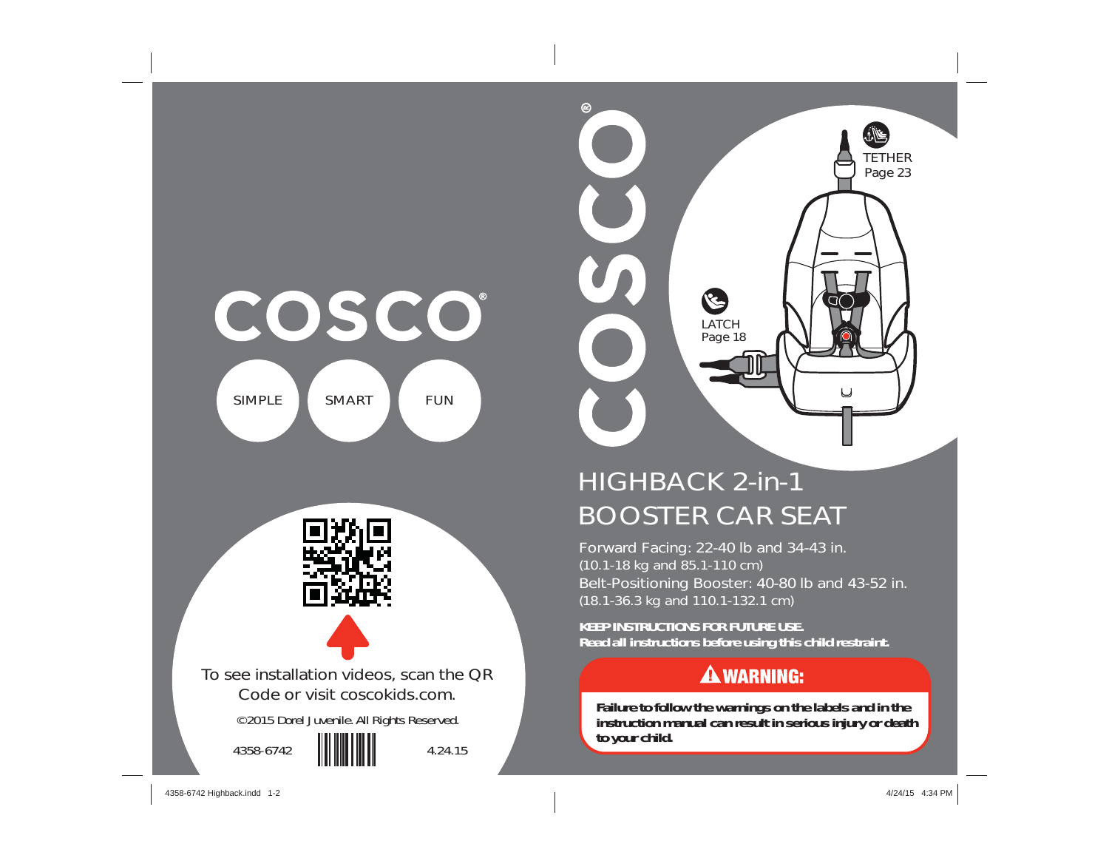



# HIGHBACK 2-in-1 BOOSTER CAR SEAT

Forward Facing: 22-40 lb and 34-43 in. (10.1-18 kg and 85.1-110 cm) Belt-Positioning Booster: 40-80 lb and 43-52 in. (18.1-36.3 kg and 110.1-132.1 cm)

**KEEP INSTRUCTIONS FOR FUTURE USE. Read all instructions before using this child restraint.**

## **A WARNING:**

**Failure to follow the warnings on the labels and in the instruction manual can result in serious injury or death to your child.**

4358-6742 Highback.indd 1-2 358-6742 Highback.indd 1-2 358-6742 Highback.indd 1-2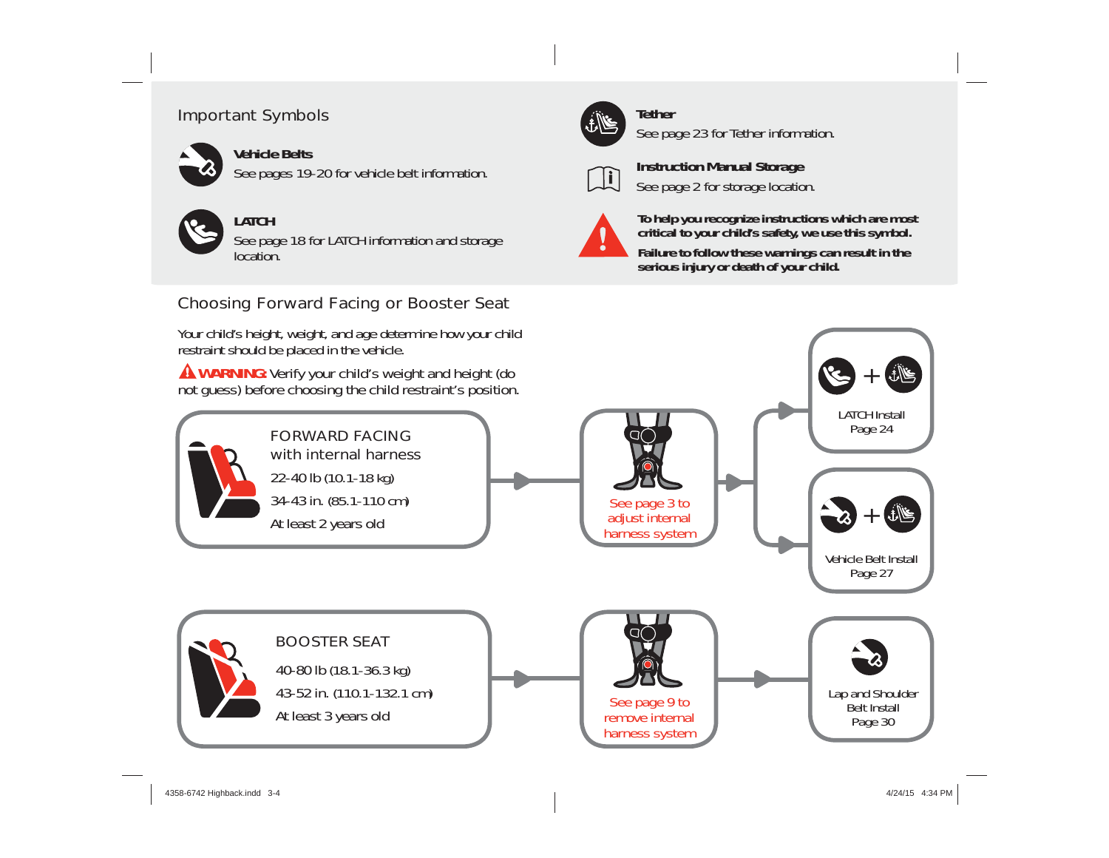## Important Symbols



See pages 19-20 for vehicle belt information.



## **LATCH**

See page 18 for LATCH information and storage location.

## Choosing Forward Facing or Booster Seat

Your child's height, weight, and age determine how your child



# **Tether**

See page 23 for Tether information.



**Instruction Manual Storage** See page 2 for storage location.



**To help you recognize instructions which are most critical to your child's safety, we use this symbol.**

**Failure to follow these warnings can result in the serious injury or death of your child.** 

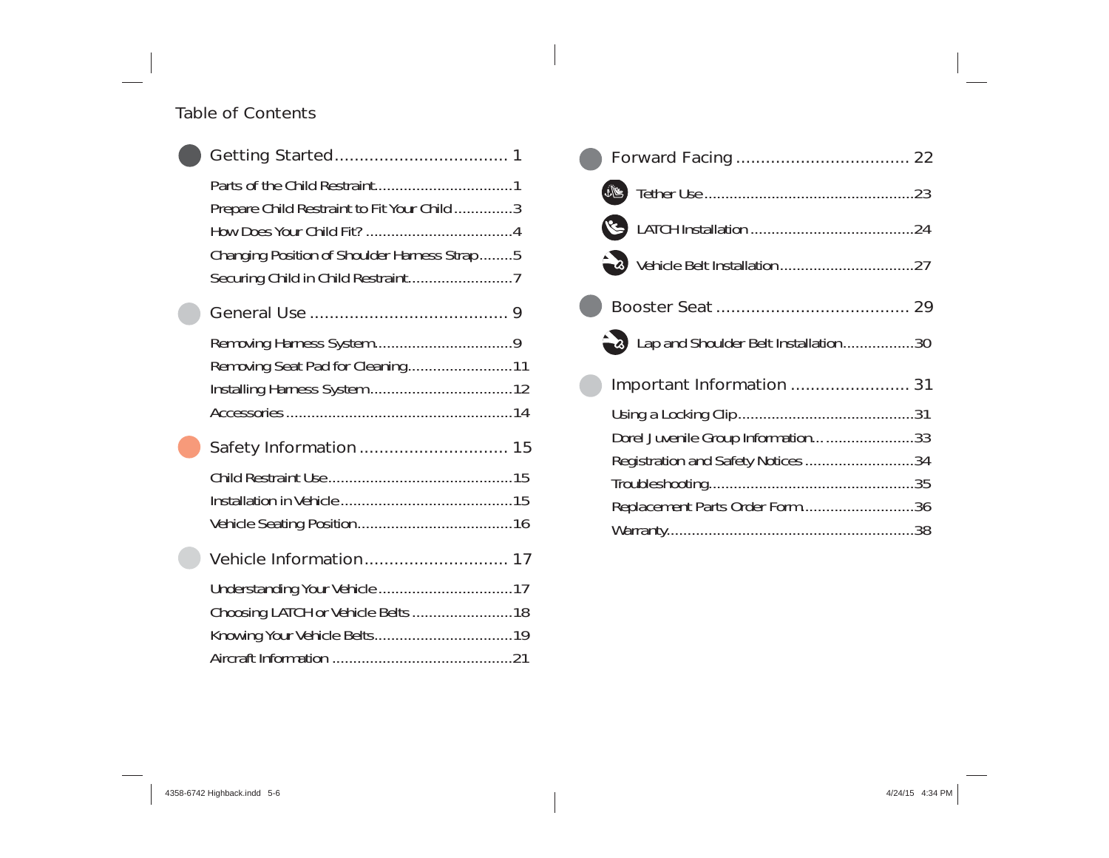### Table of Contents

| Prepare Child Restraint to Fit Your Child 3<br>Changing Position of Shoulder Harness Strap 5 |  |
|----------------------------------------------------------------------------------------------|--|
|                                                                                              |  |
| Removing Seat Pad for Cleaning11                                                             |  |
|                                                                                              |  |
|                                                                                              |  |
|                                                                                              |  |
| Choosing LATCH or Vehicle Belts 18                                                           |  |
|                                                                                              |  |

| Lap and Shoulder Belt Installation30 |
|--------------------------------------|
| Important Information  31            |
|                                      |
| Dorel Juvenile Group Information33   |
| Registration and Safety Notices 34   |
|                                      |
| Replacement Parts Order Form36       |
|                                      |
|                                      |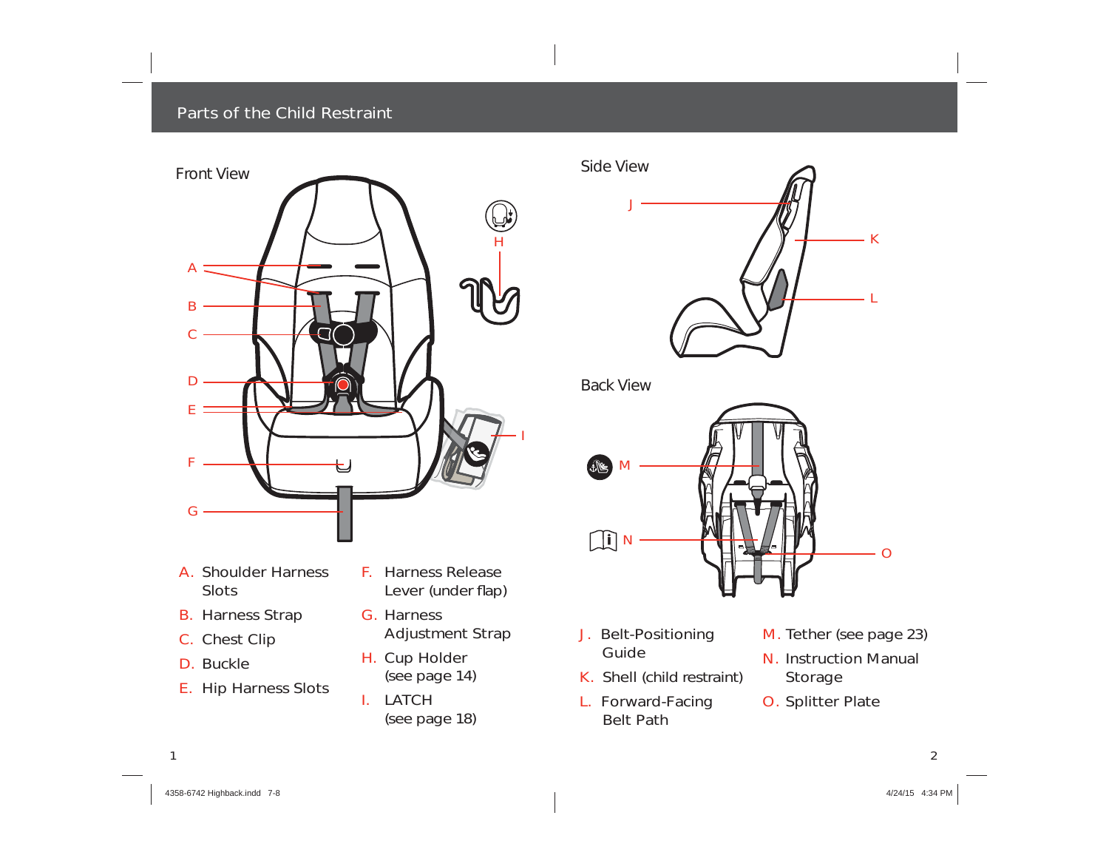#### Parts of the Child Restraint



- A. Shoulder Harness **Slots**
- B. Harness Strap
- C. Chest Clip
- D. Buckle
- E. Hip Harness Slots
- F. Harness Release Lever (under flap)
- G. Harness Adjustment Strap
- H. Cup Holder (see page 14)
- I. LATCH (see page 18)



*Back View*



- J. Belt-Positioning Guide
- K. Shell (child restraint)
- L. Forward-Facing Belt Path
- M. Tether (see page 23)
- N. Instruction Manual Storage
- O. Splitter Plate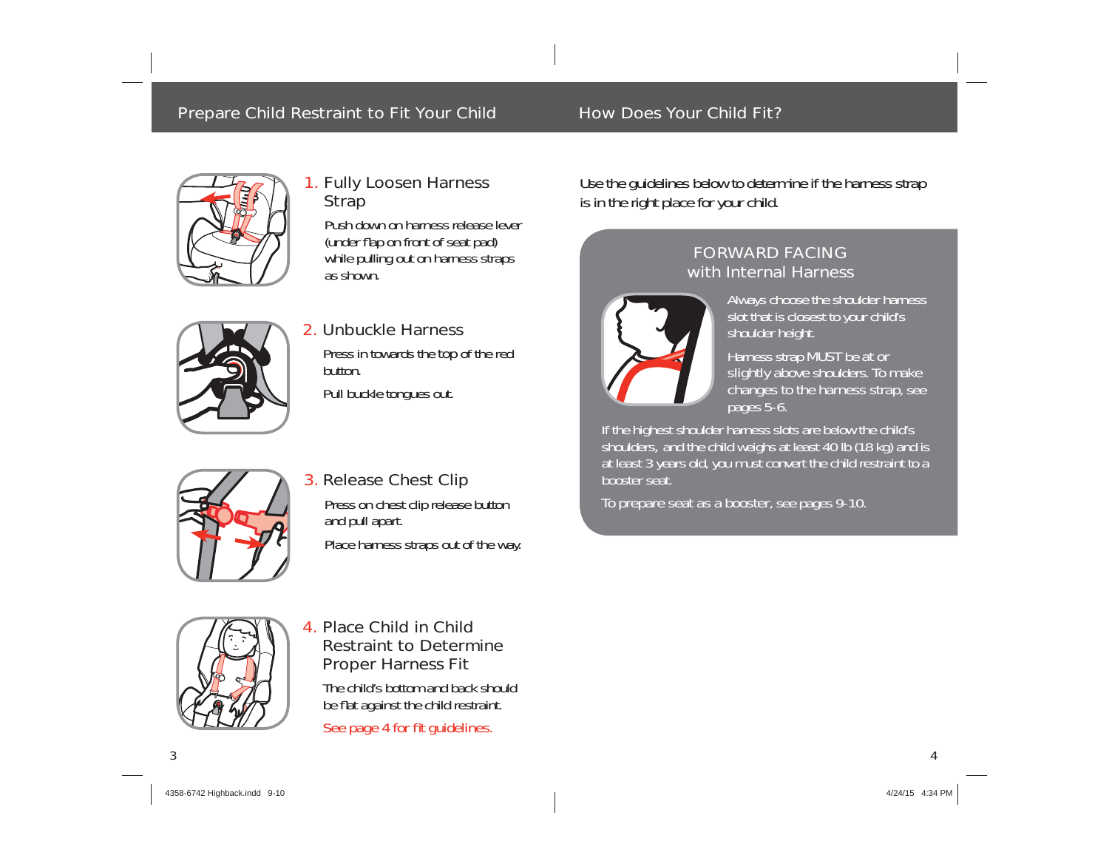## Prepare Child Restraint to Fit Your Child How Does Your Child Fit?



### 1. Fully Loosen Harness Strap

Push down on harness release lever (under flap on front of seat pad) while pulling out on harness straps as shown.



### 2. Unbuckle Harness

Press in towards the top of the red button.

Pull buckle tongues out.



## 3. Release Chest Clip Press on chest clip release button and pull apart.

Place harness straps out of the way.



## 4. Place Child in Child Restraint to Determine Proper Harness Fit

The child's bottom and back should be flat against the child restraint.

See page 4 for fit guidelines.

Use the guidelines below to determine if the harness strap is in the right place for your child.

## FORWARD FACINGwith Internal Harness



Always choose the shoulder harness slot that is closest to your child's shoulder height.

Harness strap MUST be at or slightly above shoulders. To make changes to the harness strap, see pages 5-6.

If the highest shoulder harness slots are below the child's shoulders, and the child weighs at least 40 lb (18 kg) and is at least 3 years old, you must convert the child restraint to a booster seat.

To prepare seat as a booster, see pages 9-10.

 $\Delta$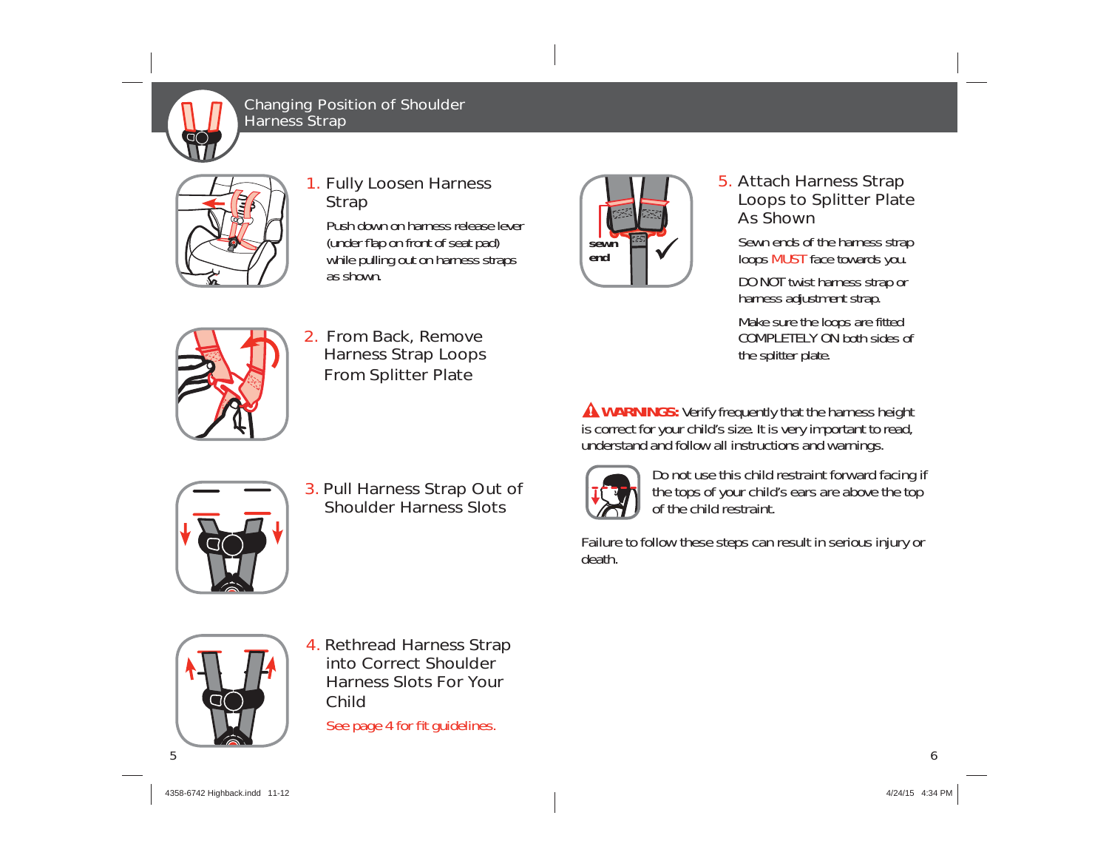

Changing Position of Shoulder Harness Strap



### 1. Fully Loosen Harness **Strap**

2. From Back, Remove Harness Strap Loops From Splitter Plate

Push down on harness release lever (under flap on front of seat pad) while pulling out on harness straps as shown.



## 5. Attach Harness Strap Loops to Splitter Plate As Shown

Sewn ends of the harness strap loops MUST face towards you.

DO NOT twist harness strap or harness adjustment strap.

Make sure the loops are fitted COMPLETELY ON both sides of the splitter plate.

**A WARNINGS:** Verify frequently that the harness height is correct for your child's size. It is very important to read, understand and follow all instructions and warnings.



3. Pull Harness Strap Out of Shoulder Harness Slots

Do not use this child restraint forward facing if the tops of your child's ears are above the top of the child restraint.

Failure to follow these steps can result in serious injury or death.



4. Rethread Harness Strap into Correct Shoulder Harness Slots For Your Child

See page 4 for fit guidelines.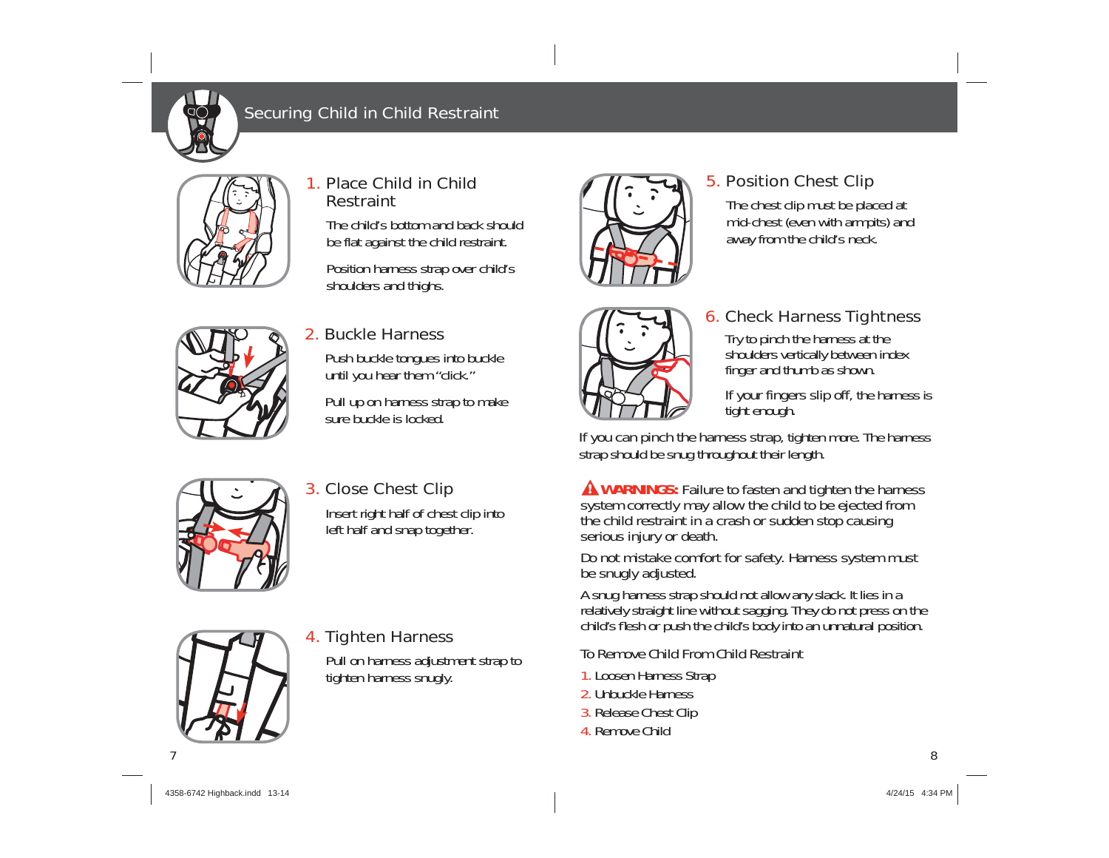

## Securing Child in Child Restraint



## 1. Place Child in Child Restraint

The child's bottom and back should be flat against the child restraint.

Position harness strap over child's shoulders and thighs.



## 2. Buckle Harness

Push buckle tongues into buckle until you hear them "click."

Pull up on harness strap to make sure buckle is locked.





## 5. Position Chest Clip

The chest clip must be placed at mid-chest (even with armpits) and away from the child's neck.

## 6. Check Harness Tightness

Try to pinch the harness at the shoulders vertically between index finger and thumb as shown.

If your fingers slip off, the harness is tight enough.

If you can pinch the harness strap, tighten more. The harness strap should be snug throughout their length.

**A WARNINGS:** Failure to fasten and tighten the harness system correctly may allow the child to be ejected from the child restraint in a crash or sudden stop causing serious injury or death.

Do not mistake comfort for safety. Harness system must be snugly adjusted.

A snug harness strap should not allow any slack. It lies in a relatively straight line without sagging. They do not press on the child's flesh or push the child's body into an unnatural position.

## To Remove Child From Child Restraint

- 1. Loosen Harness Strap
- 2. Unbuckle Harness
- 3. Release Chest Clip
- 4. Remove Child



## 3. Close Chest Clip

Insert right half of chest clip into left half and snap together.



## 4. Tighten Harness

Pull on harness adjustment strap to tighten harness snugly.

4358-6742 Highback.indd 13-14 358-6742 4/24/15 4:34 PM /24/15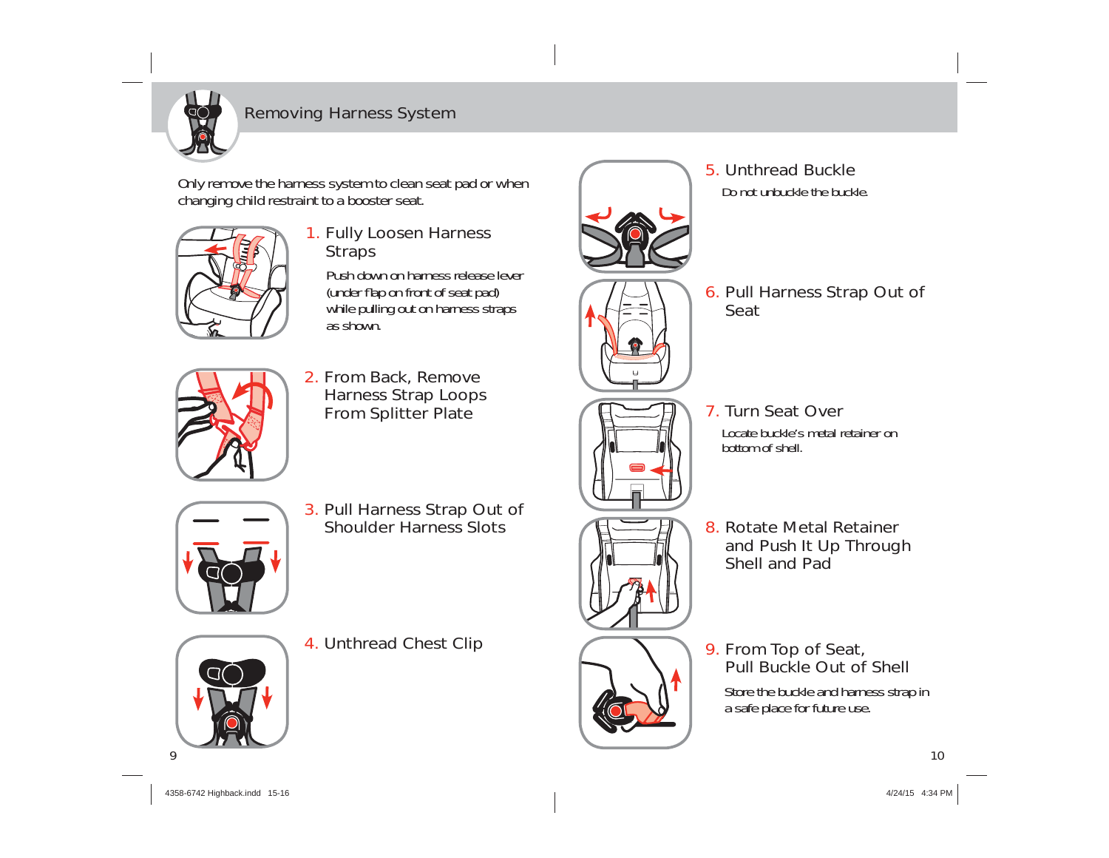

## Removing Harness System

Only remove the harness system to clean seat pad or when changing child restraint to a booster seat.



## 1. Fully Loosen Harness **Straps**

Push down on harness release lever (under flap on front of seat pad) while pulling out on harness straps as shown.



2. From Back, Remove Harness Strap Loops From Splitter Plate



- 
- Seat

7. Turn Seat Over

5. Unthread Buckle Do not unbuckle the buckle.

bottom of shell.



3. Pull Harness Strap Out of Shoulder Harness Slots



8. Rotate Metal Retainer and Push It Up Through Shell and Pad

Locate buckle's metal retainer on

## 9. From Top of Seat, Pull Buckle Out of Shell

Store the buckle and harness strap in a safe place for future use.



4. Unthread Chest Clip



 $\overline{Q}$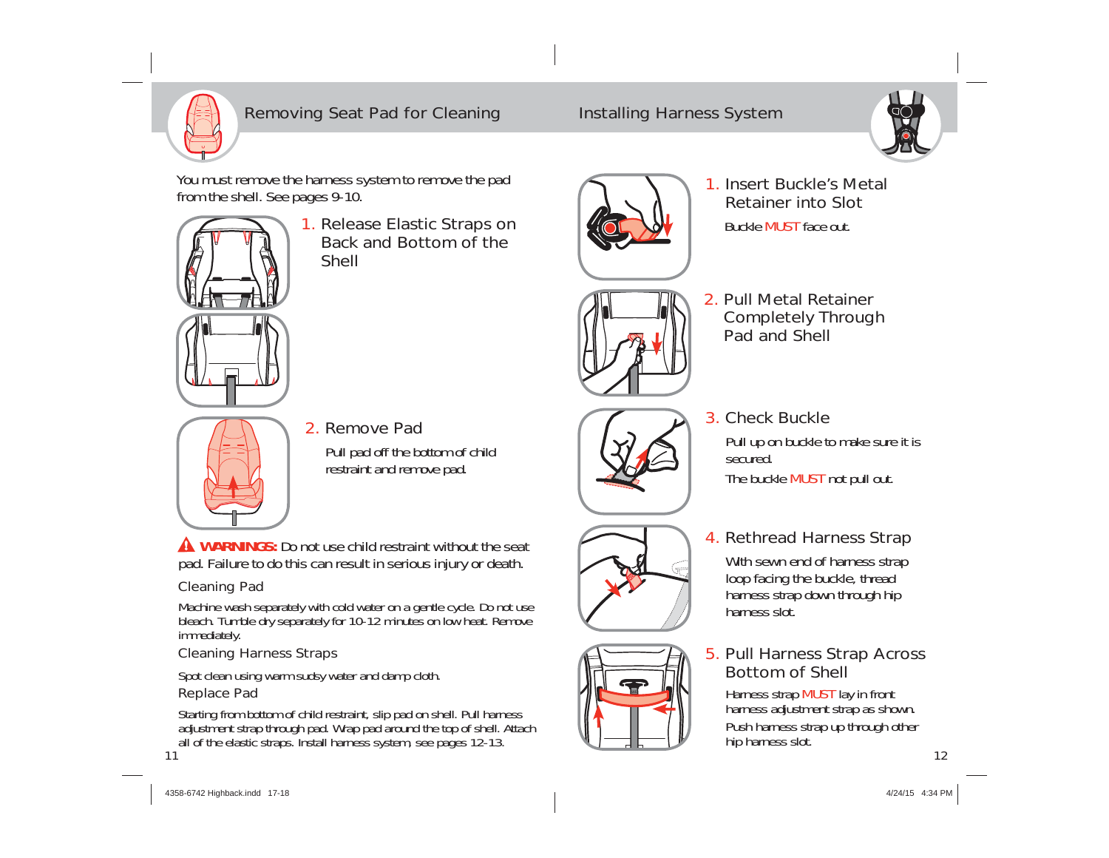

## Removing Seat Pad for Cleaning Installing Harness System



You must remove the harness system to remove the pad from the shell. See pages 9-10.



1. Release Elastic Straps on Back and Bottom of the Shell



1. Insert Buckle's Metal Retainer into Slot Buckle **MUST** face out.



2. Pull Metal Retainer Completely Through Pad and Shell



2. Remove Pad

Pull pad off the bottom of child restraint and remove pad.

**A WARNINGS:** Do not use child restraint without the seat pad. Failure to do this can result in serious injury or death.

## Cleaning Pad

Machine wash separately with cold water on a gentle cycle. Do not use bleach. Tumble dry separately for 10-12 minutes on low heat. Remove immediately.

## Cleaning Harness Straps

Spot clean using warm sudsy water and damp cloth.

## Replace Pad

Starting from bottom of child restraint, slip pad on shell. Pull harness adjustment strap through pad. Wrap pad around the top of shell. Attach all of the elastic straps. Install harness system, see pages 12-13. 11



3. Check Buckle

Pull up on buckle to make sure it is secured.

The buckle MUST not pull out.

## 4. Rethread Harness Strap

With sewn end of harness strap loop facing the buckle, thread harness strap down through hip harness slot.

## 5. Pull Harness Strap Across Bottom of Shell

Harness strap MUST lay in front harness adjustment strap as shown. Push harness strap up through other hip harness slot.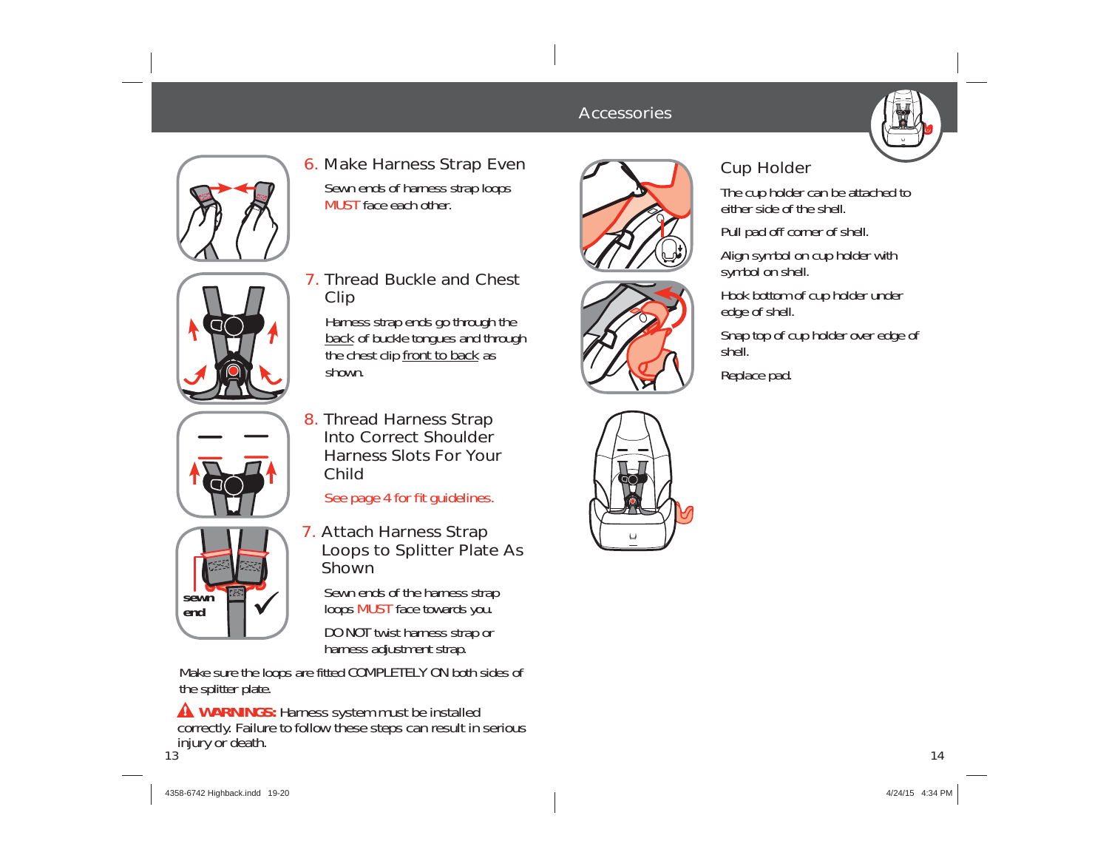### **Accessories**







7. Thread Buckle and Chest Clip

6. Make Harness Strap Even Sewn ends of harness strap loops

MUST face each other.

Harness strap ends go through the back of buckle tongues and through the chest clip front to back as shown.



**end**

8. Thread Harness Strap Into Correct Shoulder Harness Slots For Your Child

See page 4 for fit guidelines.

- **sewn** 
	- 7. Attach Harness Strap Loops to Splitter Plate As Shown

Sewn ends of the harness strap loops MUST face towards you.

DO NOT twist harness strap or harness adjustment strap.

Make sure the loops are fitted COMPLETELY ON both sides of the splitter plate.

13 injury or death. **A WARNINGS: Harness system must be installed** correctly. Failure to follow these steps can result in serious





## Cup Holder

The cup holder can be attached to either side of the shell

Pull pad off corner of shell.

Align symbol on cup holder with symbol on shell.

Hook bottom of cup holder under edge of shell.

Snap top of cup holder over edge of shell.

Replace pad.

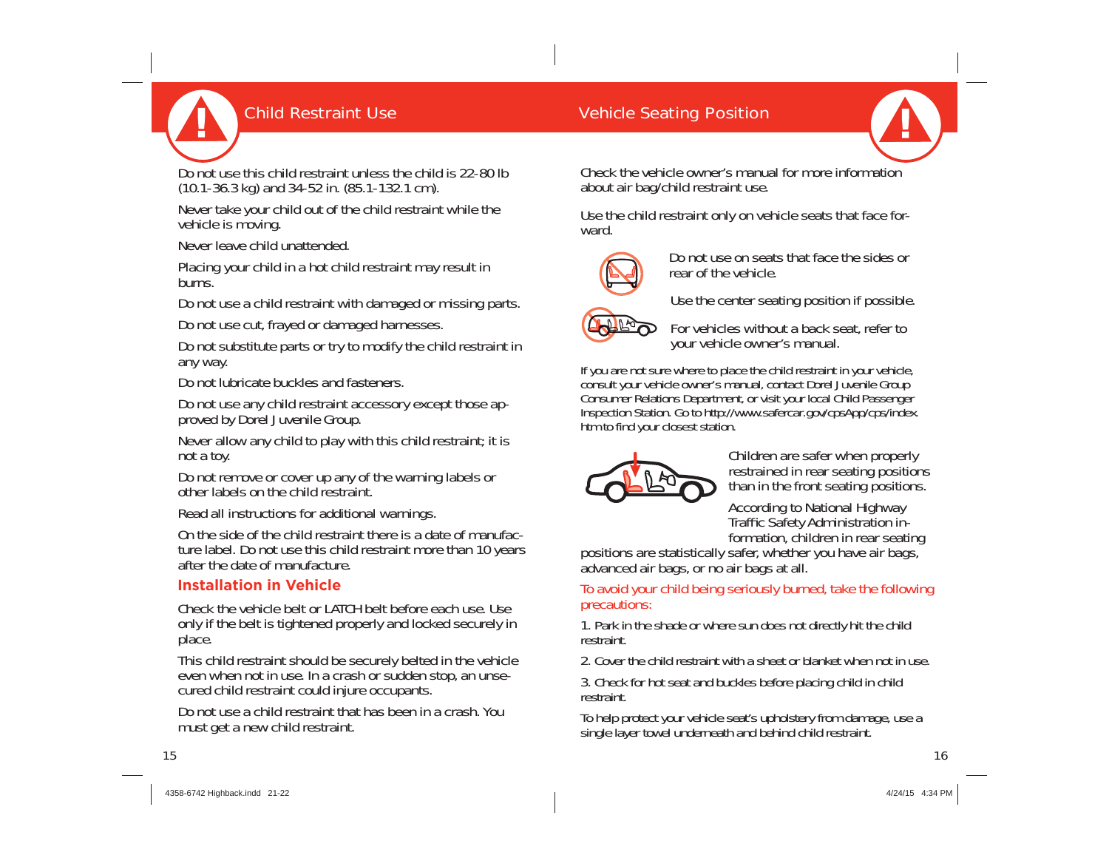

## **Child Restraint Use Child Restraint Use Child Restraint Use Child Restraing Position**

Do not use this child restraint unless the child is 22-80 lb (10.1-36.3 kg) and 34-52 in. (85.1-132.1 cm).

Never take your child out of the child restraint while the vehicle is moving.

Never leave child unattended.

Placing your child in a hot child restraint may result in burns.

Do not use a child restraint with damaged or missing parts.

Do not use cut, frayed or damaged harnesses.

Do not substitute parts or try to modify the child restraint in any way.

Do not lubricate buckles and fasteners.

Do not use any child restraint accessory except those approved by Dorel Juvenile Group.

Never allow any child to play with this child restraint; it is not a toy.

Do not remove or cover up any of the warning labels or other labels on the child restraint.

Read all instructions for additional warnings.

On the side of the child restraint there is a date of manufacture label. Do not use this child restraint more than 10 years after the date of manufacture.

#### **Installation in Vehicle**

Check the vehicle belt or LATCH belt before each use. Use only if the belt is tightened properly and locked securely in place.

This child restraint should be securely belted in the vehicle even when not in use. In a crash or sudden stop, an unsecured child restraint could injure occupants.

Do not use a child restraint that has been in a crash. You must get a new child restraint.

Check the vehicle owner's manual for more information about air bag/child restraint use.

Use the child restraint only on vehicle seats that face forward.



Do not use on seats that face the sides or rear of the vehicle.

Use the center seating position if possible.



For vehicles without a back seat, refer to your vehicle owner's manual.

If you are not sure where to place the child restraint in your vehicle, consult your vehicle owner's manual, contact Dorel Juvenile Group Consumer Relations Department, or visit your local Child Passenger Inspection Station. Go to http://www.safercar.gov/cpsApp/cps/index. htm to find your closest station.



Children are safer when properly restrained in rear seating positions than in the front seating positions.

According to National Highway Traffic Safety Administration information, children in rear seating

positions are statistically safer, whether you have air bags, advanced air bags, or no air bags at all.

To avoid your child being seriously burned, take the following precautions:

1. Park in the shade or where sun does not directly hit the child restraint.

2. Cover the child restraint with a sheet or blanket when not in use.

3. Check for hot seat and buckles before placing child in child restraint.

To help protect your vehicle seat's upholstery from damage, use a single layer towel underneath and behind child restraint.

15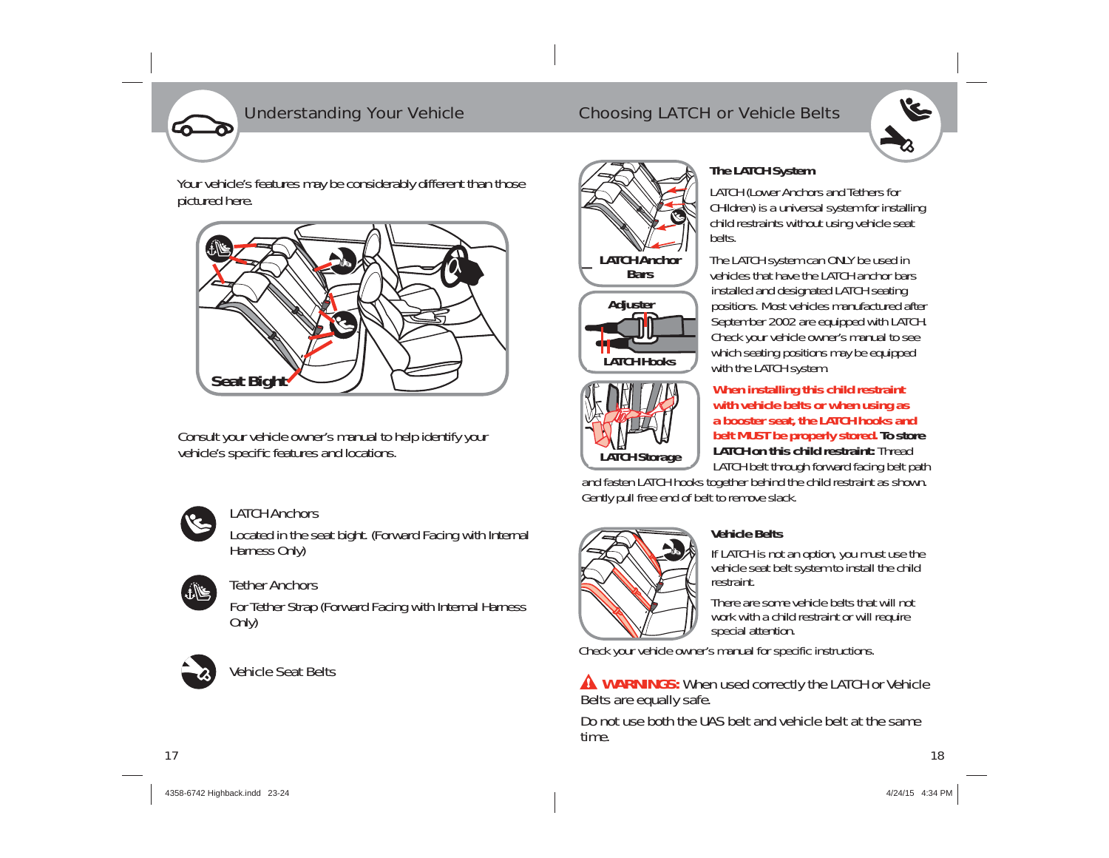

Your vehicle's features may be considerably different than those pictured here.



Consult your vehicle owner's manual to help identify your vehicle's specific features and locations.



## LATCH Anchors

Located in the seat bight. (Forward Facing with Internal Harness Only)

#### Tether Anchorsمخالفة

For Tether Strap (Forward Facing with Internal Harness Only)



## Vehicle Seat Belts

## Understanding Your Vehicle Choosing LATCH or Vehicle Belts



# **BarsLATCH HooksAdjuster**



#### with the LATCH system. **When installing this child restraint with vehicle belts or when using as a booster seat, the LATCH hooks and belt MUST be properly stored. To store LATCH on this child restraint:** Thread LATCH belt through forward facing belt path

vehicles that have the LATCH anchor bars installed and designated LATCH seating positions. Most vehicles manufactured after September 2002 are equipped with LATCH. Check your vehicle owner's manual to see which seating positions may be equipped

**VE** 

and fasten LATCH hooks together behind the child restraint as shown. Gently pull free end of belt to remove slack.



## **Vehicle Belts**

If LATCH is not an option, you must use the vehicle seat belt system to install the child restraint.

There are some vehicle belts that will not work with a child restraint or will require special attention.

Check your vehicle owner's manual for specific instructions.

### **WARNINGS:** When used correctly the LATCH or Vehicle Belts are equally safe.

Do not use both the UAS belt and vehicle belt at the same time.

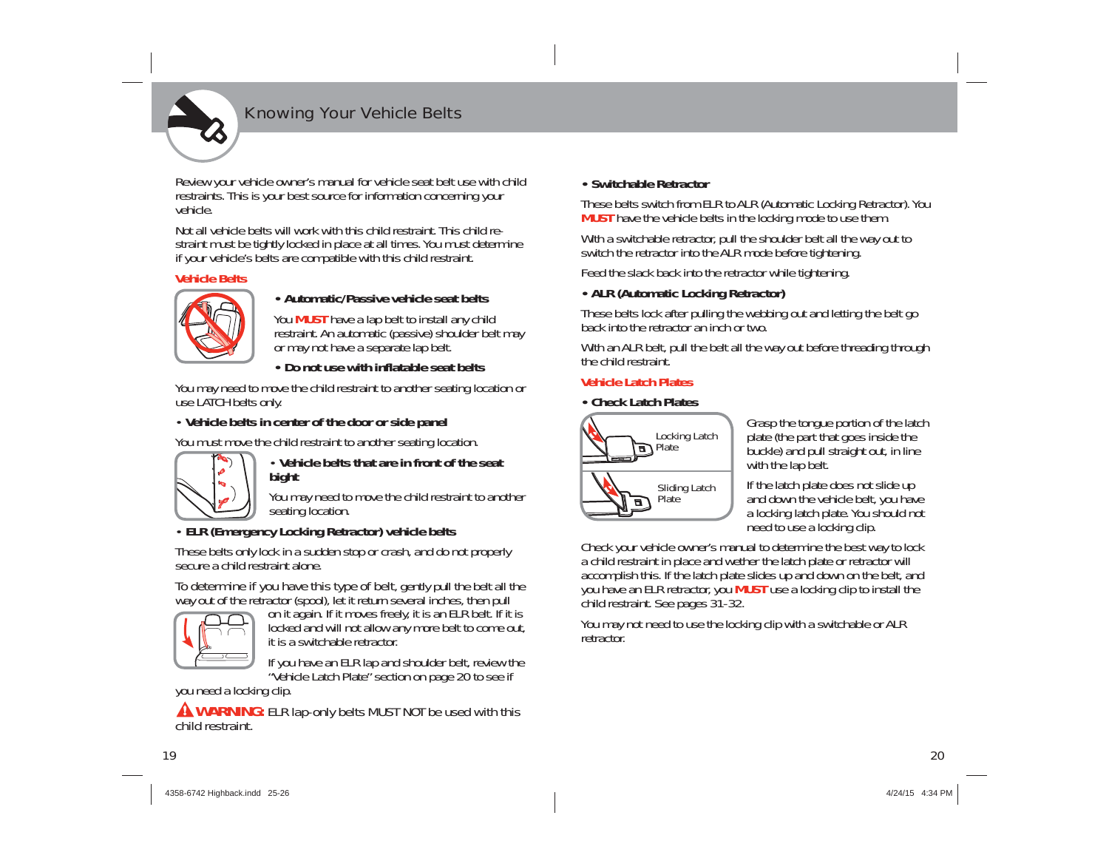

## Knowing Your Vehicle Belts

Review your vehicle owner's manual for vehicle seat belt use with child restraints. This is your best source for information concerning your vehicle.

Not all vehicle belts will work with this child restraint. This child restraint must be tightly locked in place at all times. You must determine if your vehicle's belts are compatible with this child restraint.

#### **Vehicle Belts**



#### **• Automatic/Passive vehicle seat belts**

You **MUST** have a lap belt to install any child restraint. An automatic (passive) shoulder belt may or may not have a separate lap belt.

#### **• Do not use with inflatable seat belts**

You may need to move the child restraint to another seating location or use LATCH belts only.

#### • **Vehicle belts in center of the door or side panel**

You must move the child restraint to another seating location.



#### • **Vehicle belts that are in front of the seat bight**

You may need to move the child restraint to another seating location.

#### • **ELR (Emergency Locking Retractor) vehicle belts**

These belts only lock in a sudden stop or crash, and do not properly secure a child restraint alone.

To determine if you have this type of belt, gently pull the belt all the way out of the retractor (spool), let it return several inches, then pull



on it again. If it moves freely, it is an ELR belt. If it is locked and will not allow any more belt to come out, it is a switchable retractor.

If you have an ELR lap and shoulder belt, review the "Vehicle Latch Plate" section on page 20 to see if

you need a locking clip.

**A WARNING:** ELR lap-only belts MUST NOT be used with this child restraint.

#### **• Switchable Retractor**

These belts switch from ELR to ALR (Automatic Locking Retractor). You **MUST** have the vehicle belts in the locking mode to use them.

With a switchable retractor, pull the shoulder belt all the way out to switch the retractor into the ALR mode before tightening.

Feed the slack back into the retractor while tightening.

#### **• ALR (Automatic Locking Retractor)**

These belts lock after pulling the webbing out and letting the belt go back into the retractor an inch or two.

With an ALR belt, pull the belt all the way out before threading through the child restraint.

#### **Vehicle Latch Plates**

#### **• Check Latch Plates**



Grasp the tongue portion of the latch plate (the part that goes inside the buckle) and pull straight out, in line with the lap belt.

If the latch plate does not slide up and down the vehicle belt, you have a locking latch plate. You should not need to use a locking clip.

Check your vehicle owner's manual to determine the best way to lock a child restraint in place and wether the latch plate or retractor will accomplish this. If the latch plate slides up and down on the belt, and you have an ELR retractor, you **MUST** use a locking clip to install the child restraint. See pages 31-32.

You may not need to use the locking clip with a switchable or ALR retractor.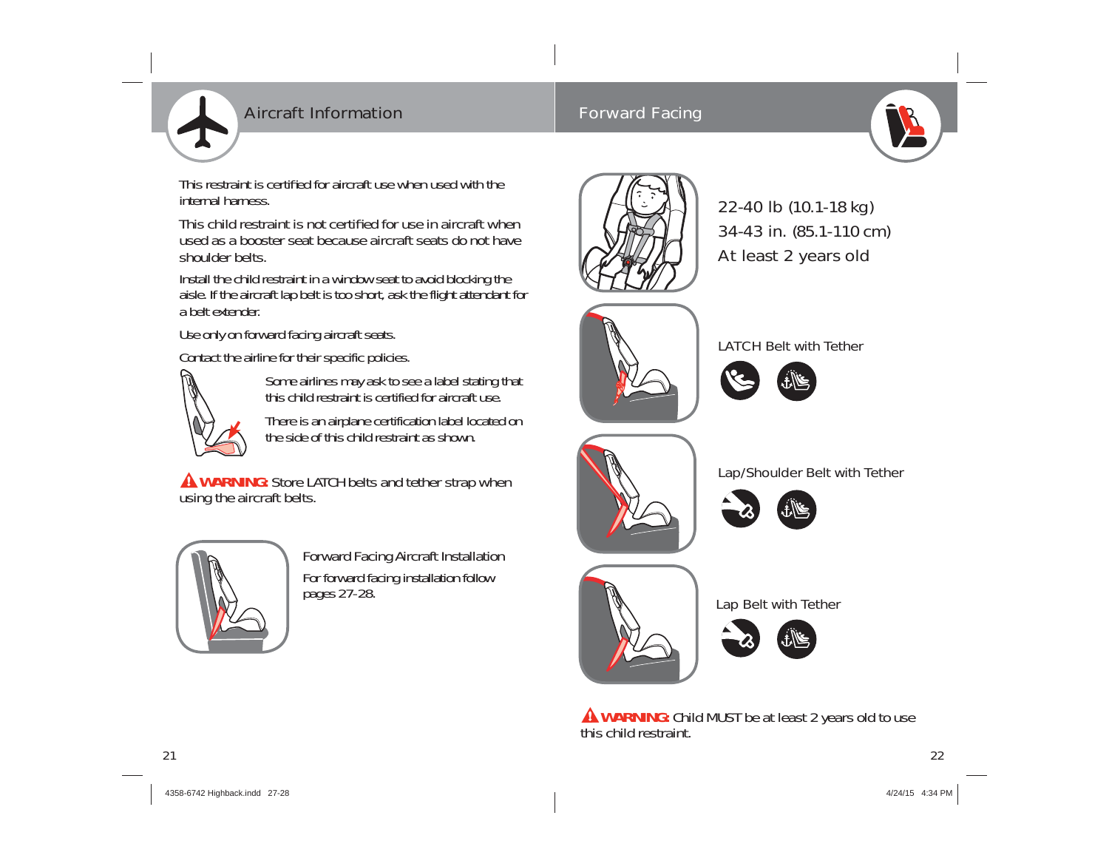

## Aircraft Information

## Forward Facing



This restraint is certified for aircraft use when used with the internal harness.

This child restraint is not certified for use in aircraft when used as a booster seat because aircraft seats do not have shoulder belts.

Install the child restraint in a window seat to avoid blocking the aisle. If the aircraft lap belt is too short, ask the flight attendant for a belt extender.

Use only on forward facing aircraft seats.

Contact the airline for their specific policies.



Some airlines may ask to see a label stating that this child restraint is certified for aircraft use.

There is an airplane certification label located on the side of this child restraint as shown.

**AWARNING:** Store LATCH belts and tether strap when using the aircraft belts.



Forward Facing Aircraft Installation For forward facing installation follow pages 27-28.



22-40 lb (10.1-18 kg) 34-43 in. (85.1-110 cm) At least 2 years old



LATCH Belt with Tether

Lap/Shoulder Belt with Tether









Lap Belt with Tether



**WARNING:** Child MUST be at least 2 years old to use this child restraint.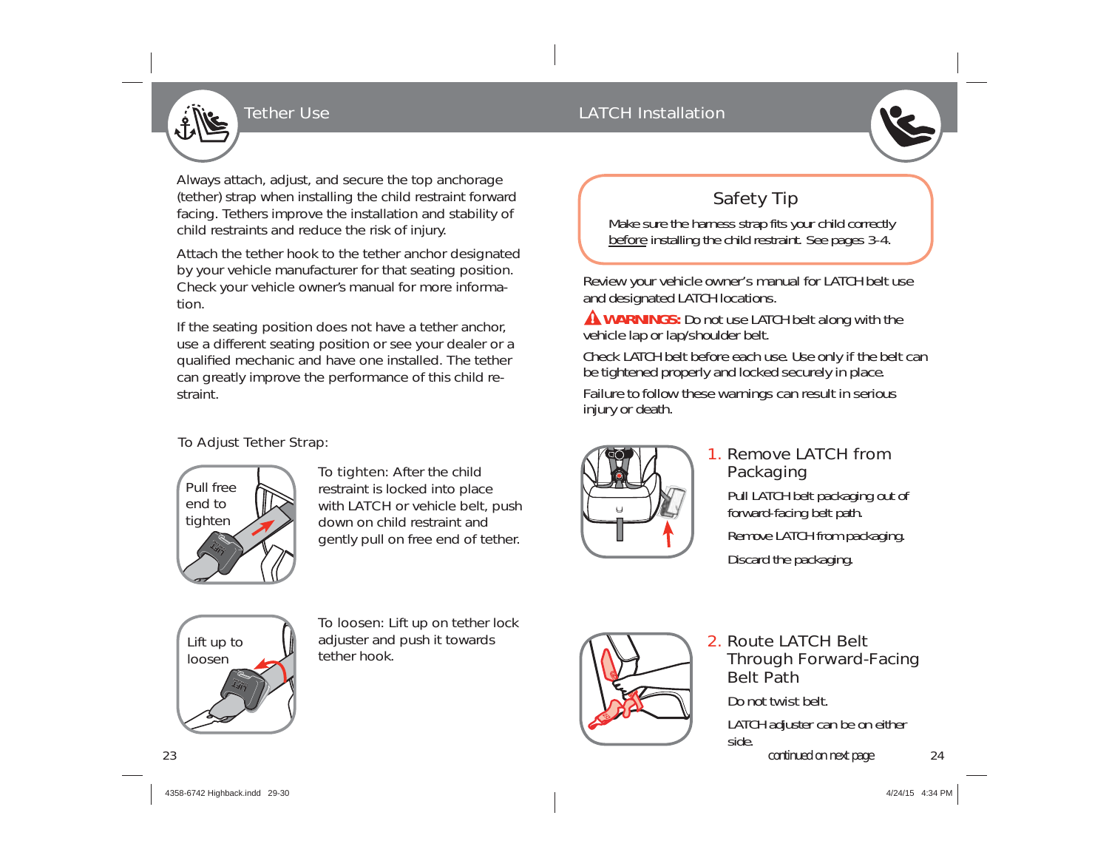

## Tether Use **LATCH Installation**

Always attach, adjust, and secure the top anchorage (tether) strap when installing the child restraint forward facing. Tethers improve the installation and stability of child restraints and reduce the risk of injury.

Attach the tether hook to the tether anchor designated by your vehicle manufacturer for that seating position. Check your vehicle owner's manual for more information.

If the seating position does not have a tether anchor, use a different seating position or see your dealer or a qualified mechanic and have one installed. The tether can greatly improve the performance of this child restraint.

### To Adjust Tether Strap:



To tighten: After the child restraint is locked into place with LATCH or vehicle belt, push down on child restraint and gently pull on free end of tether.

## Safety Tip

Make sure the harness strap fits your child correctly before installing the child restraint. See pages 3-4.

Review your vehicle owner's manual for LATCH belt use and designated LATCH locations.

**A WARNINGS:** Do not use LATCH belt along with the vehicle lap or lap/shoulder belt.

Check LATCH belt before each use. Use only if the belt can be tightened properly and locked securely in place.

Failure to follow these warnings can result in serious injury or death.



## 1. Remove LATCH from Packaging

Pull LATCH belt packaging out of forward-facing belt path. Remove LATCH from packaging. Discard the packaging.



To loosen: Lift up on tether lock adjuster and push it towards tether hook.



## 2. Route LATCH Belt Through Forward-Facing Belt PathDo not twist belt.

LATCH adjuster can be on either side.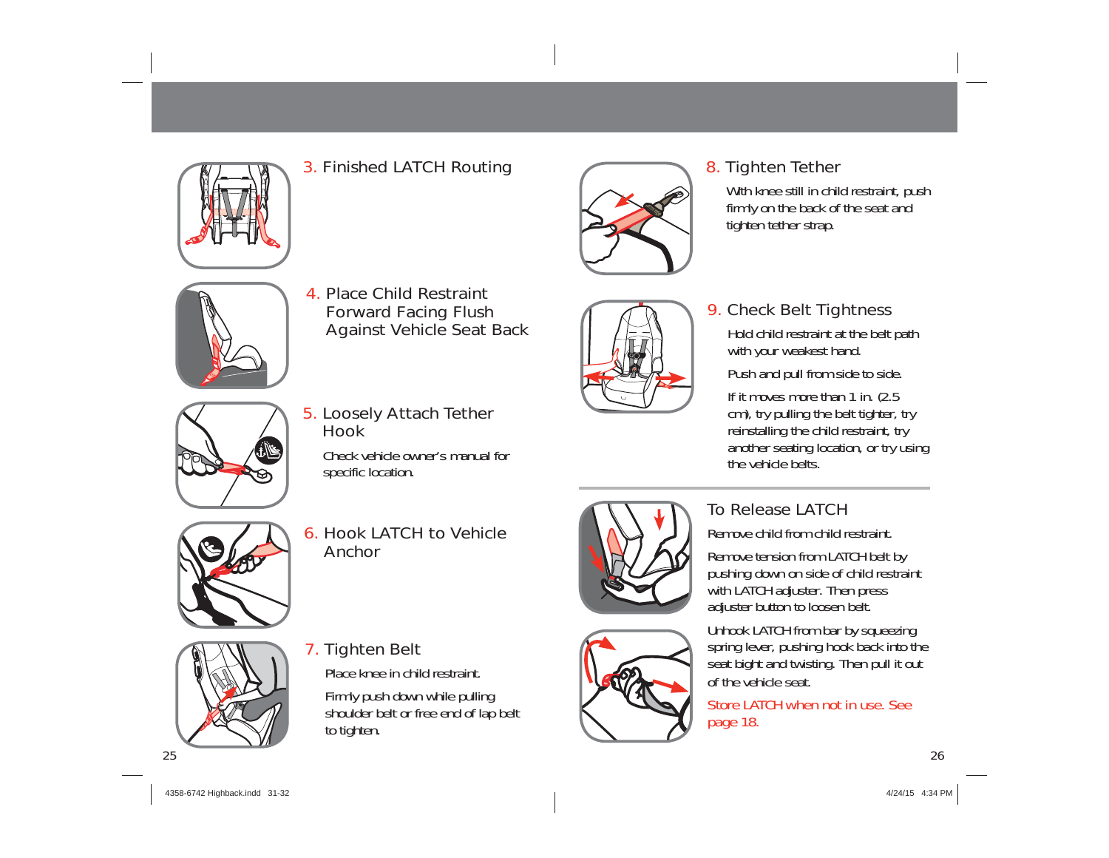

## 3. Finished LATCH Routing



## 8. Tighten Tether

With knee still in child restraint, push firmly on the back of the seat and tighten tether strap.



4. Place Child Restraint Forward Facing Flush Against Vehicle Seat Back

5. Loosely Attach Tether

Check vehicle owner's manual for

6. Hook LATCH to Vehicle

Hook

specific location.



## 9. Check Belt Tightness

Hold child restraint at the belt path with your weakest hand.

Push and pull from side to side.

If it moves more than 1 in. (2.5) cm), try pulling the belt tighter, try reinstalling the child restraint, try another seating location, or try using the vehicle belts.



## To Release LATCH

Remove child from child restraint.

Remove tension from LATCH belt by pushing down on side of child restraint with LATCH adjuster. Then press adjuster button to loosen belt.

Unhook LATCH from bar by squeezing spring lever, pushing hook back into the seat bight and twisting. Then pull it out of the vehicle seat.

Store LATCH when not in use. See page 18.



## 7. Tighten Belt

Anchor

Place knee in child restraint.

Firmly push down while pulling shoulder belt or free end of lap belt to tighten.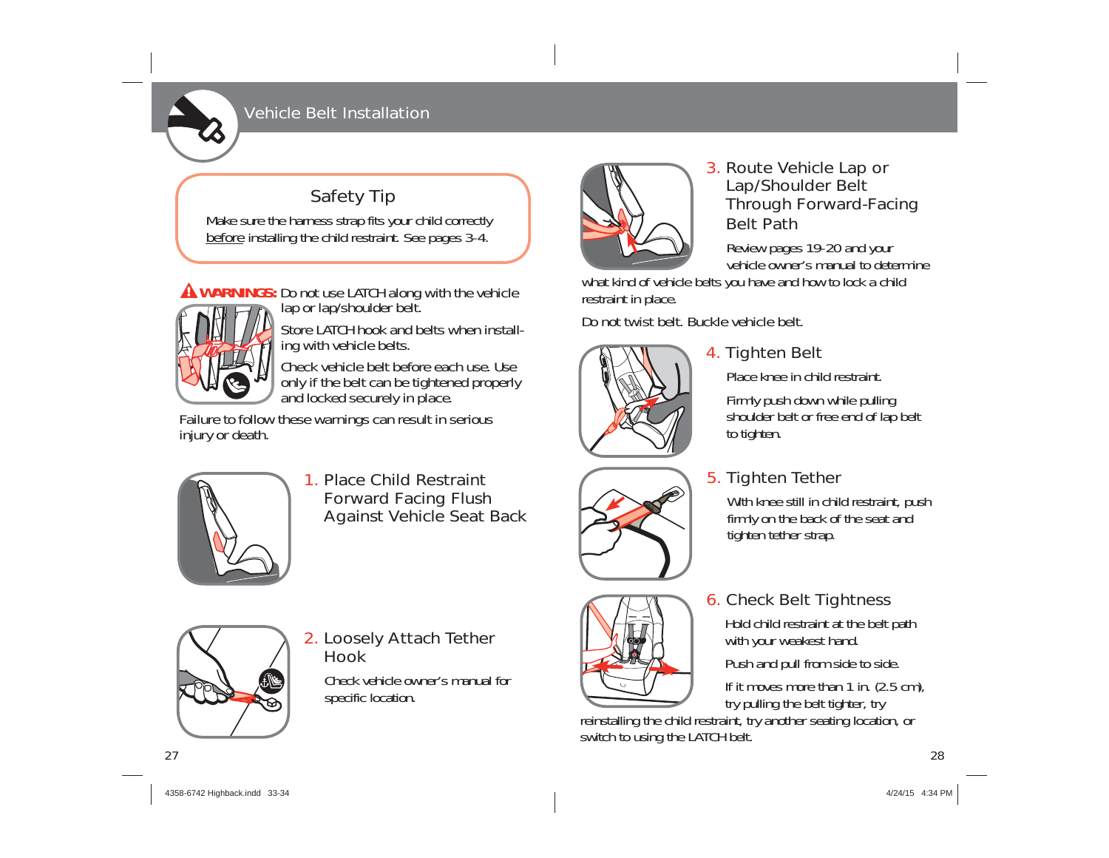## Vehicle Belt Installation

## Safety Tip

Make sure the harness strap fits your child correctly before installing the child restraint. See pages 3-4.

**WARNINGS:** Do not use LATCH along with the vehicle lap or lap/shoulder belt.



Store LATCH hook and belts when installing with vehicle belts.

Check vehicle belt before each use. Use only if the belt can be tightened properly and locked securely in place.

Failure to follow these warnings can result in serious injury or death.



1. Place Child Restraint Forward Facing Flush Against Vehicle Seat Back



## 3. Route Vehicle Lap or Lap/Shoulder Belt Through Forward-Facing Belt Path

Review pages 19-20 and your vehicle owner's manual to determine

what kind of vehicle belts you have and how to lock a child restraint in place.

Do not twist belt. Buckle vehicle belt.



## 4. Tighten Belt

Place knee in child restraint.

Firmly push down while pulling shoulder belt or free end of lap belt to tighten.

## 5. Tighten Tether

With knee still in child restraint, push firmly on the back of the seat and tighten tether strap.

## 6. Check Belt Tightness

Hold child restraint at the belt path with your weakest hand.

Push and pull from side to side.

If it moves more than 1 in. (2.5 cm), try pulling the belt tighter, try

reinstalling the child restraint, try another seating location, or switch to using the LATCH belt.



2. Loosely Attach Tether Hook

Check vehicle owner's manual for specific location.

27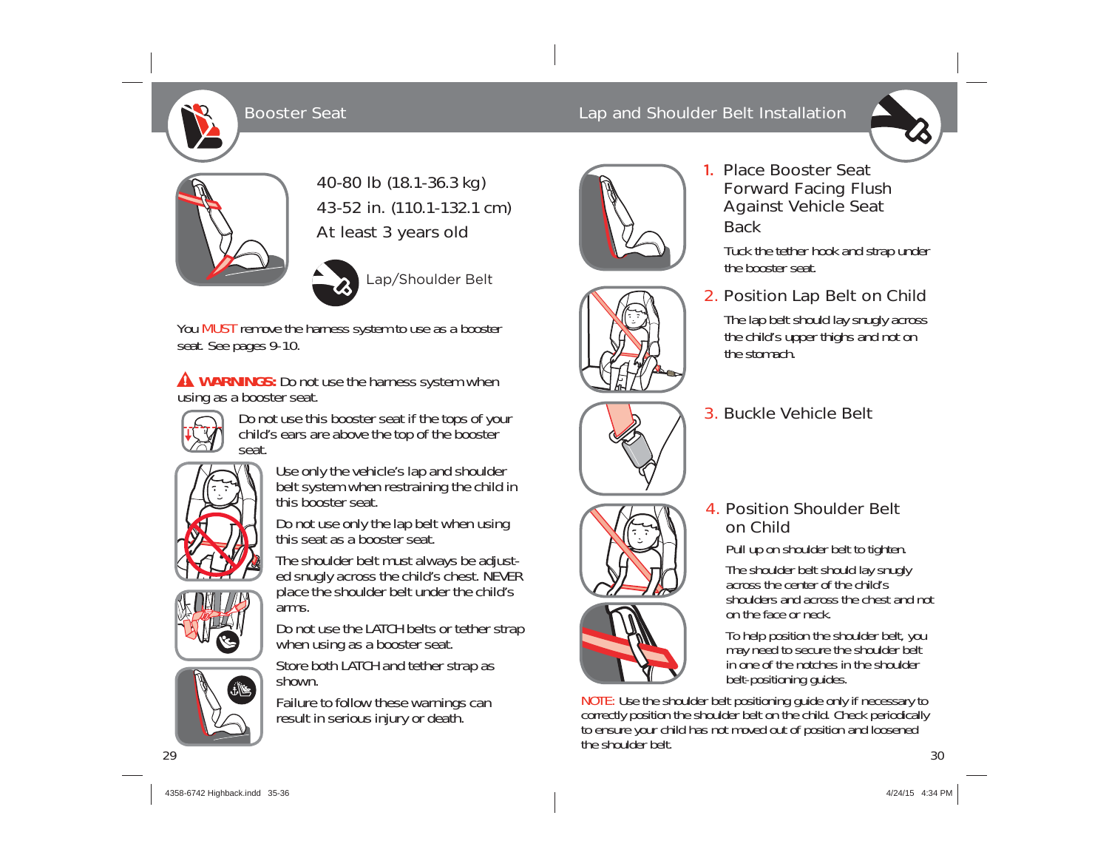40-80 lb (18.1-36.3 kg) 43-52 in. (110.1-132.1 cm) At least 3 years old



You MUST remove the harness system to use as a booster seat. See pages 9-10.

**A WARNINGS:** Do not use the harness system when using as a booster seat.



Do not use this booster seat if the tops of your child's ears are above the top of the booster seat.



Use only the vehicle's lap and shoulder belt system when restraining the child in this booster seat.

Do not use only the lap belt when using this seat as a booster seat.

The shoulder belt must always be adjusted snugly across the child's chest. NEVER place the shoulder belt under the child's arms.

Do not use the LATCH belts or tether strap when using as a booster seat.

Store both LATCH and tether strap as shown.



Failure to follow these warnings can result in serious injury or death.

# Booster Seat Lap and Shoulder Belt Installation



## 1. Place Booster Seat Forward Facing Flush Against Vehicle Seat

Tuck the tether hook and strap under the booster seat.

## 2. Position Lap Belt on Child

The lap belt should lay snugly across the child's upper thighs and not on the stomach.

## 3. Buckle Vehicle Belt



Pull up on shoulder belt to tighten. The shoulder belt should lay snugly

across the center of the child's shoulders and across the chest and not on the face or neck.

To help position the shoulder belt, you may need to secure the shoulder belt in one of the notches in the shoulder belt-positioning guides.

 $\sim$  30 NOTE: Use the shoulder belt positioning guide only if necessary to correctly position the shoulder belt on the child. Check periodically to ensure your child has not moved out of position and loosened the shoulder belt.

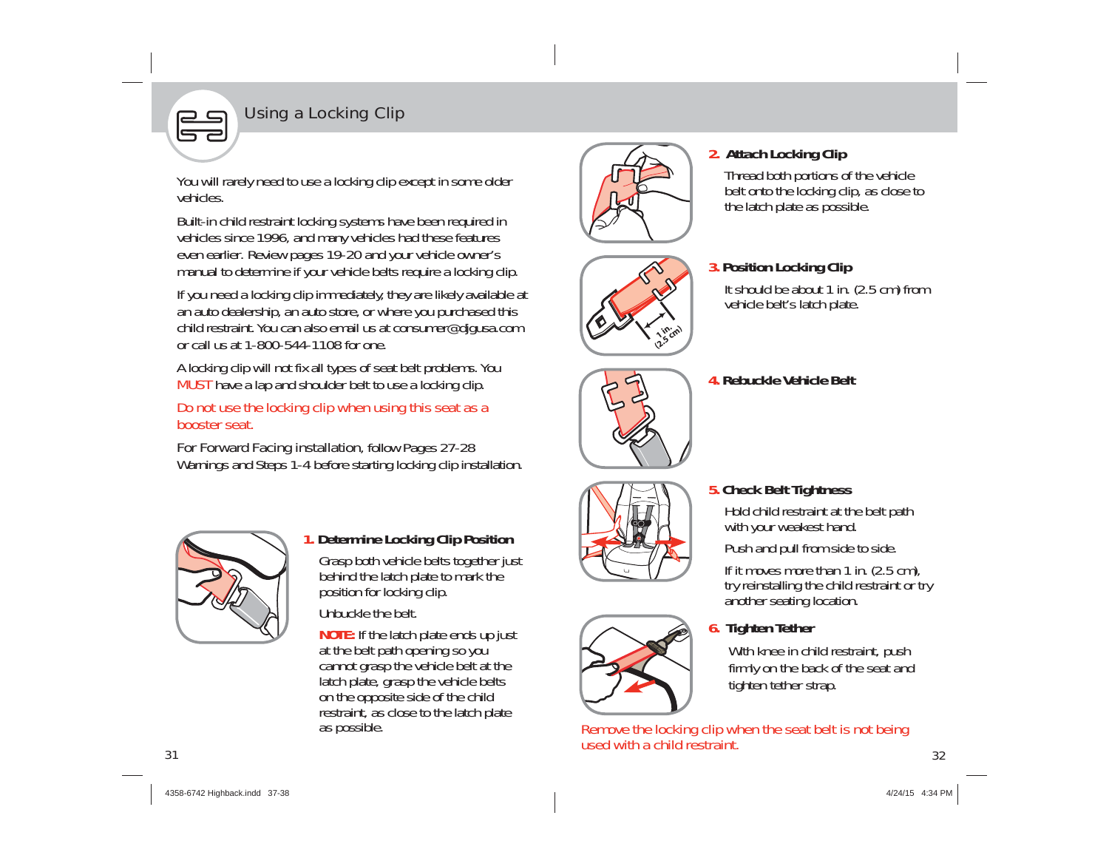## Using a Locking Clip

You will rarely need to use a locking clip except in some older vehicles.

Built-in child restraint locking systems have been required in vehicles since 1996, and many vehicles had these features even earlier. Review pages 19-20 and your vehicle owner's manual to determine if your vehicle belts require a locking clip.

If you need a locking clip immediately, they are likely available at an auto dealership, an auto store, or where you purchased this child restraint. You can also email us at consumer@djgusa.com or call us at 1-800-544-1108 for one.

A locking clip will not fix all types of seat belt problems. You MUST have a lap and shoulder belt to use a locking clip.

Do not use the locking clip when using this seat as a booster seat.

For Forward Facing installation, follow Pages 27-28 Warnings and Steps 1-4 before starting locking clip installation.



## **1. Determine Locking Clip Position**

Grasp both vehicle belts together just behind the latch plate to mark the position for locking clip.

Unbuckle the belt.

**NOTE:** If the latch plate ends up just at the belt path opening so you cannot grasp the vehicle belt at the latch plate, grasp the vehicle belts on the opposite side of the child restraint, as close to the latch plate as possible.



## **2. Attach Locking Clip**

Thread both portions of the vehicle belt onto the locking clip, as close to the latch plate as possible.



### **3. Position Locking Clip**

It should be about 1 in. (2.5 cm) from vehicle belt's latch plate.

**4. Rebuckle Vehicle Belt**

## **5. Check Belt Tightness**

Hold child restraint at the belt path with your weakest hand.

Push and pull from side to side.

If it moves more than 1 in. (2.5 cm), try reinstalling the child restraint or try another seating location.

## **6. Tighten Tether**

With knee in child restraint, push firmly on the back of the seat and tighten tether strap.

 32Remove the locking clip when the seat belt is not being used with a child restraint.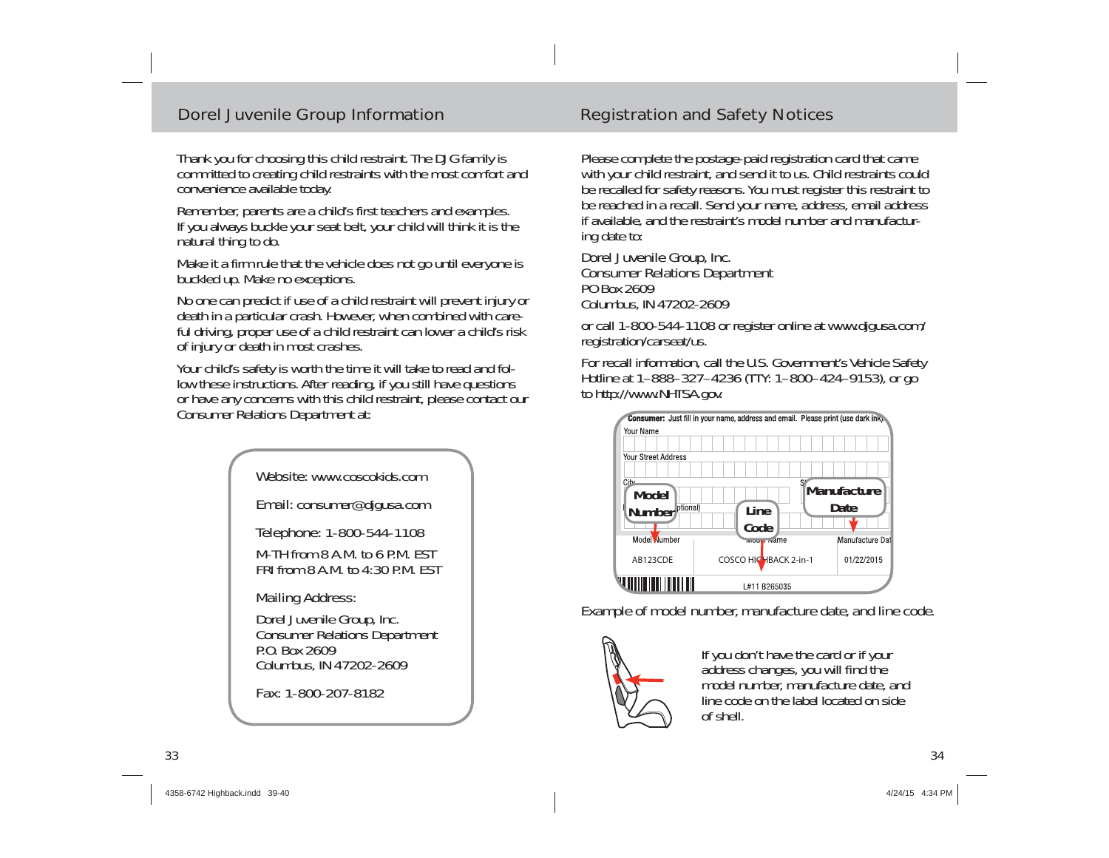### Dorel Juvenile Group Information Registration and Safety Notices

Thank you for choosing this child restraint. The DJG family is committed to creating child restraints with the most comfort and convenience available today.

Remember, parents are a child's first teachers and examples. If you always buckle your seat belt, your child will think it is the natural thing to do.

Make it a firm rule that the vehicle does not go until everyone is buckled up. Make no exceptions.

No one can predict if use of a child restraint will prevent injury or death in a particular crash. However, when combined with careful driving, proper use of a child restraint can lower a child's risk of injury or death in most crashes.

Your child's safety is worth the time it will take to read and follow these instructions. After reading, if you still have questions or have any concerns with this child restraint, please contact our Consumer Relations Department at:



Fax: 1-800-207-8182

Please complete the postage-paid registration card that came with your child restraint, and send it to us. Child restraints could be recalled for safety reasons. You must register this restraint to be reached in a recall. Send your name, address, email address if available, and the restraint's model number and manufacturing date to:

#### Dorel Juvenile Group, Inc. Consumer Relations Department PO Box 2609Columbus, IN 47202-2609

or call 1-800-544-1108 or register online at www.djgusa.com/ registration/carseat/us.

For recall information, call the U.S. Government's Vehicle Safety Hotline at 1–888–327–4236 (TTY: 1–800–424–9153), or go to http://www.NHTSA.gov.



Example of model number, manufacture date, and line code.



If you don't have the card or if your address changes, you will find the model number, manufacture date, and line code on the label located on side of shell.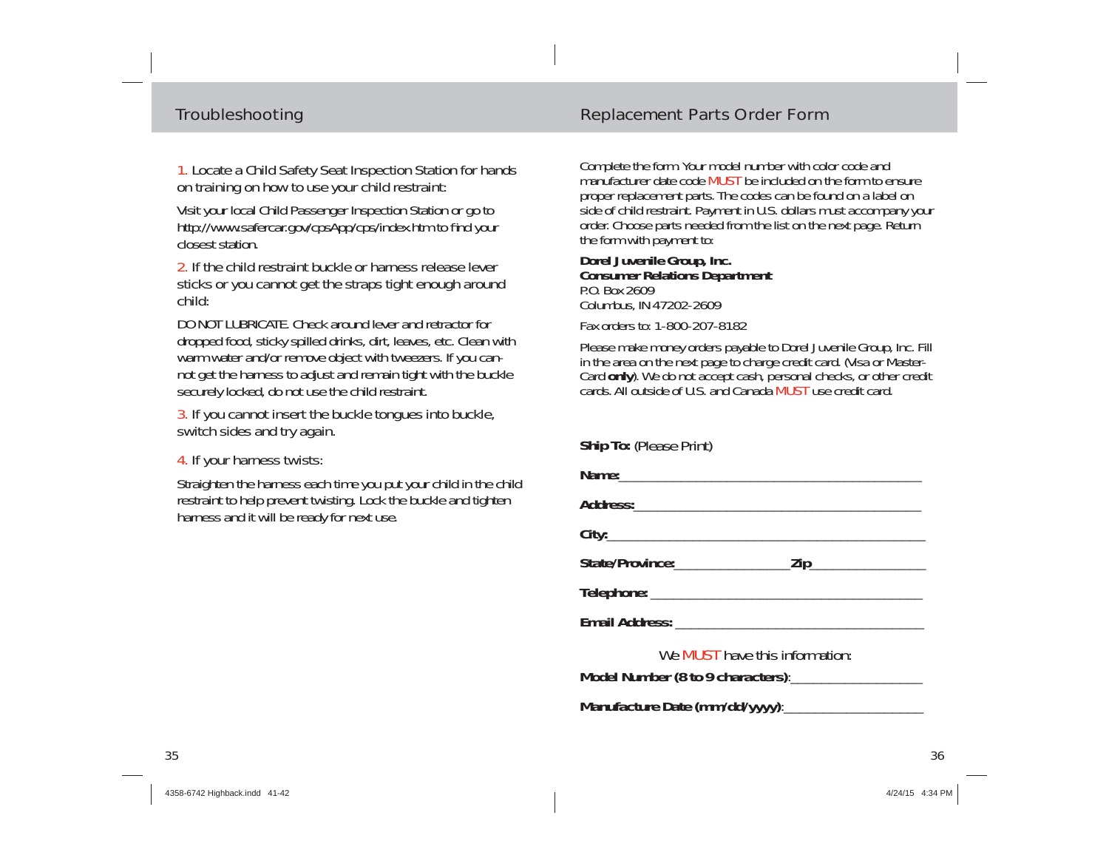#### 1. Locate a Child Safety Seat Inspection Station for hands on training on how to use your child restraint:

Visit your local Child Passenger Inspection Station or go to http://www.safercar.gov/cpsApp/cps/index.htm to find your closest station.

#### 2. If the child restraint buckle or harness release lever sticks or you cannot get the straps tight enough around child:

DO NOT LUBRICATE. Check around lever and retractor for dropped food, sticky spilled drinks, dirt, leaves, etc. Clean with warm water and/or remove object with tweezers. If you cannot get the harness to adjust and remain tight with the buckle securely locked, do not use the child restraint.

3. If you cannot insert the buckle tongues into buckle, switch sides and try again.

#### 4. If your harness twists:

Straighten the harness each time you put your child in the child restraint to help prevent twisting. Lock the buckle and tighten harness and it will be ready for next use.

### Troubleshooting Troubleshooting Replacement Parts Order Form

Complete the form. Your model number with color code and manufacturer date code MUST be included on the form to ensure proper replacement parts. The codes can be found on a label on side of child restraint. Payment in U.S. dollars must accompany your order. Choose parts needed from the list on the next page. Return the form with payment to:

#### **Dorel Juvenile Group, Inc. Consumer Relations Department** P.O. Box 2609Columbus, IN 47202-2609

Fax orders to: 1-800-207-8182

Please make money orders payable to Dorel Juvenile Group, Inc. Fill in the area on the next page to charge credit card. (Visa or Master-Card only). We do not accept cash, personal checks, or other credit cards. All outside of U.S. and Canada MUST use credit card.

#### **Ship To:** (Please Print)

**Manufacture Date (mm/dd/yyyy)**:\_\_\_\_\_\_\_\_\_\_\_\_\_\_\_\_\_\_

| We <b>MUST</b> have this information: |  |  |  |  |
|---------------------------------------|--|--|--|--|
|                                       |  |  |  |  |